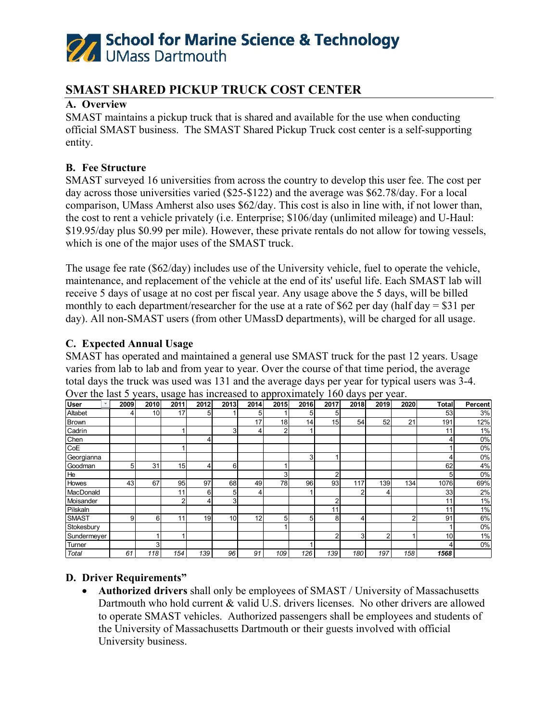

## **SMAST SHARED PICKUP TRUCK COST CENTER**

## **A. Overview**

SMAST maintains a pickup truck that is shared and available for the use when conducting official SMAST business. The SMAST Shared Pickup Truck cost center is a self-supporting entity.

### **B. Fee Structure**

SMAST surveyed 16 universities from across the country to develop this user fee. The cost per day across those universities varied (\$25-\$122) and the average was \$62.78/day. For a local comparison, UMass Amherst also uses \$62/day. This cost is also in line with, if not lower than, the cost to rent a vehicle privately (i.e. Enterprise; \$106/day (unlimited mileage) and U-Haul: \$19.95/day plus \$0.99 per mile). However, these private rentals do not allow for towing vessels, which is one of the major uses of the SMAST truck.

The usage fee rate (\$62/day) includes use of the University vehicle, fuel to operate the vehicle, maintenance, and replacement of the vehicle at the end of its' useful life. Each SMAST lab will receive 5 days of usage at no cost per fiscal year. Any usage above the 5 days, will be billed monthly to each department/researcher for the use at a rate of \$62 per day (half day  $=$  \$31 per day). All non-SMAST users (from other UMassD departments), will be charged for all usage.

#### **C. Expected Annual Usage**

SMAST has operated and maintained a general use SMAST truck for the past 12 years. Usage varies from lab to lab and from year to year. Over the course of that time period, the average total days the truck was used was 131 and the average days per year for typical users was 3-4. Over the last 5 years, usage has increased to approximately 160 days per year.

| User<br>$\overline{\phantom{a}}$ | 2009 | 2010 | 2011 | 2012 | 2013            | 2014            | 2015           | 2016           | 2017            | 2018 | 2019           | 2020 | Total | Percent |
|----------------------------------|------|------|------|------|-----------------|-----------------|----------------|----------------|-----------------|------|----------------|------|-------|---------|
| Altabet                          | 4    | 10   | 17   | 5    |                 | 5               |                | 5              | 5               |      |                |      | 53    | 3%      |
| Brown                            |      |      |      |      |                 | 17              | 18             | 14             | 15 <sub>l</sub> | 54   | 52             | 21   | 191   | 12%     |
| Cadrin                           |      |      |      |      | 3               | 4               | $\overline{2}$ |                |                 |      |                |      | 11    | 1%      |
| Chen                             |      |      |      | 4    |                 |                 |                |                |                 |      |                |      | 4     | 0%      |
| CoE                              |      |      |      |      |                 |                 |                |                |                 |      |                |      |       | 0%      |
| Georgianna                       |      |      |      |      |                 |                 |                | 3 <sup>1</sup> |                 |      |                |      | 4     | 0%      |
| Goodman                          | 5    | 31   | 15   | 4    | 6               |                 |                |                |                 |      |                |      | 62    | 4%      |
| He                               |      |      |      |      |                 |                 | 3              |                | 2               |      |                |      | 5     | 0%      |
| Howes                            | 43   | 67   | 95   | 97   | 68              | 49              | 78             | 96             | 93              | 117  | 139            | 134  | 1076  | 69%     |
| MacDonald                        |      |      | 11   | 6    | 5               | 4               |                |                |                 | 2    | 4              |      | 33    | 2%      |
| Moisander                        |      |      | 2    | 4    | 3               |                 |                |                | C               |      |                |      | 11    | 1%      |
| Pilskaln                         |      |      |      |      |                 |                 |                |                | 11              |      |                |      | 11    | 1%      |
| <b>SMAST</b>                     | 9    | 6    | 11   | 19   | 10 <sub>1</sub> | 12 <sub>1</sub> | 5              | 5              | 8               | 4    |                | ົ    | 91    | 6%      |
| Stokesbury                       |      |      |      |      |                 |                 |                |                |                 |      |                |      |       | 0%      |
| Sundermeyer                      |      |      |      |      |                 |                 |                |                | 2               | 31   | $\overline{2}$ |      | 10    | 1%      |
| Turner                           |      | 3    |      |      |                 |                 |                |                |                 |      |                |      | 4     | 0%      |
| <b>Total</b>                     | 61   | 118  | 154  | 139  | 96              | 91              | 109            | 126            | 139             | 180  | 197            | 158  | 1568  |         |

## **D. Driver Requirements"**

• **Authorized drivers** shall only be employees of SMAST / University of Massachusetts Dartmouth who hold current & valid U.S. drivers licenses. No other drivers are allowed to operate SMAST vehicles. Authorized passengers shall be employees and students of the University of Massachusetts Dartmouth or their guests involved with official University business.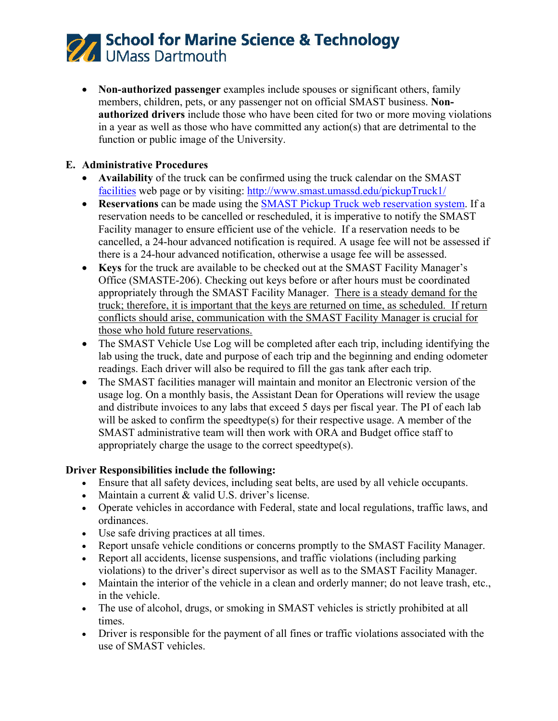## **27 School for Marine Science & Technology**<br>26 UMass Dartmouth

• **Non-authorized passenger** examples include spouses or significant others, family members, children, pets, or any passenger not on official SMAST business. **Nonauthorized drivers** include those who have been cited for two or more moving violations in a year as well as those who have committed any action(s) that are detrimental to the function or public image of the University.

## **E. Administrative Procedures**

- **Availability** of the truck can be confirmed using the truck calendar on the SMAST [facilities](https://www.umassd.edu/smast/about/facilities/) web page or by visiting:<http://www.smast.umassd.edu/pickupTruck1/>
- **Reservations** can be made using the [SMAST Pickup Truck web reservation system.](http://www.smast.umassd.edu/pickupTruck1/) If a reservation needs to be cancelled or rescheduled, it is imperative to notify the SMAST Facility manager to ensure efficient use of the vehicle. If a reservation needs to be cancelled, a 24-hour advanced notification is required. A usage fee will not be assessed if there is a 24-hour advanced notification, otherwise a usage fee will be assessed.
- **Keys** for the truck are available to be checked out at the SMAST Facility Manager's Office (SMASTE-206). Checking out keys before or after hours must be coordinated appropriately through the SMAST Facility Manager. There is a steady demand for the truck; therefore, it is important that the keys are returned on time, as scheduled. If return conflicts should arise, communication with the SMAST Facility Manager is crucial for those who hold future reservations.
- The SMAST Vehicle Use Log will be completed after each trip, including identifying the lab using the truck, date and purpose of each trip and the beginning and ending odometer readings. Each driver will also be required to fill the gas tank after each trip.
- The SMAST facilities manager will maintain and monitor an Electronic version of the usage log. On a monthly basis, the Assistant Dean for Operations will review the usage and distribute invoices to any labs that exceed 5 days per fiscal year. The PI of each lab will be asked to confirm the speedtype(s) for their respective usage. A member of the SMAST administrative team will then work with ORA and Budget office staff to appropriately charge the usage to the correct speedtype(s).

## **Driver Responsibilities include the following:**

- Ensure that all safety devices, including seat belts, are used by all vehicle occupants.
- Maintain a current & valid U.S. driver's license.
- Operate vehicles in accordance with Federal, state and local regulations, traffic laws, and ordinances.
- Use safe driving practices at all times.
- Report unsafe vehicle conditions or concerns promptly to the SMAST Facility Manager.
- Report all accidents, license suspensions, and traffic violations (including parking violations) to the driver's direct supervisor as well as to the SMAST Facility Manager.
- Maintain the interior of the vehicle in a clean and orderly manner; do not leave trash, etc., in the vehicle.
- The use of alcohol, drugs, or smoking in SMAST vehicles is strictly prohibited at all times.
- Driver is responsible for the payment of all fines or traffic violations associated with the use of SMAST vehicles.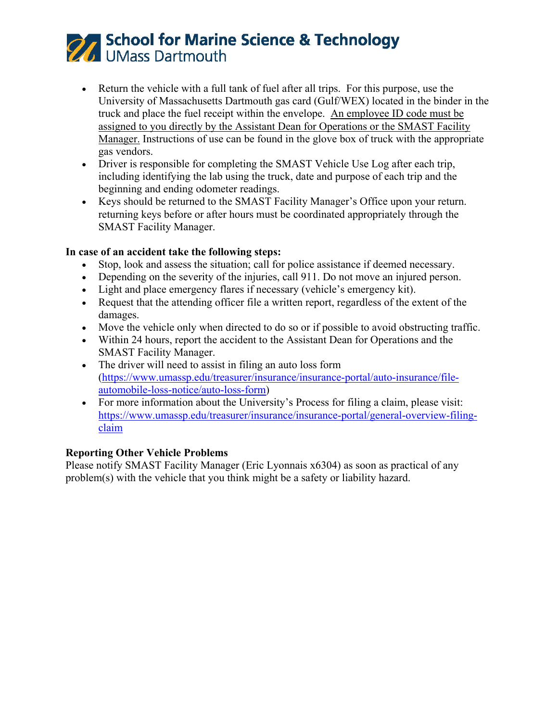# **27 School for Marine Science & Technology**<br>26 UMass Dartmouth

- Return the vehicle with a full tank of fuel after all trips. For this purpose, use the University of Massachusetts Dartmouth gas card (Gulf/WEX) located in the binder in the truck and place the fuel receipt within the envelope. An employee ID code must be assigned to you directly by the Assistant Dean for Operations or the SMAST Facility Manager. Instructions of use can be found in the glove box of truck with the appropriate gas vendors.
- Driver is responsible for completing the SMAST Vehicle Use Log after each trip, including identifying the lab using the truck, date and purpose of each trip and the beginning and ending odometer readings.
- Keys should be returned to the SMAST Facility Manager's Office upon your return. returning keys before or after hours must be coordinated appropriately through the SMAST Facility Manager.

## **In case of an accident take the following steps:**

- Stop, look and assess the situation; call for police assistance if deemed necessary.
- Depending on the severity of the injuries, call 911. Do not move an injured person.
- Light and place emergency flares if necessary (vehicle's emergency kit).
- Request that the attending officer file a written report, regardless of the extent of the damages.
- Move the vehicle only when directed to do so or if possible to avoid obstructing traffic.
- Within 24 hours, report the accident to the Assistant Dean for Operations and the SMAST Facility Manager.
- The driver will need to assist in filing an auto loss form [\(https://www.umassp.edu/treasurer/insurance/insurance-portal/auto-insurance/file](https://www.umassp.edu/treasurer/insurance/insurance-portal/auto-insurance/file-automobile-loss-notice/auto-loss-form)[automobile-loss-notice/auto-loss-form\)](https://www.umassp.edu/treasurer/insurance/insurance-portal/auto-insurance/file-automobile-loss-notice/auto-loss-form)
- For more information about the University's Process for filing a claim, please visit: [https://www.umassp.edu/treasurer/insurance/insurance-portal/general-overview-filing](https://www.umassp.edu/treasurer/insurance/insurance-portal/general-overview-filing-claim)[claim](https://www.umassp.edu/treasurer/insurance/insurance-portal/general-overview-filing-claim)

## **Reporting Other Vehicle Problems**

Please notify SMAST Facility Manager (Eric Lyonnais x6304) as soon as practical of any problem(s) with the vehicle that you think might be a safety or liability hazard.